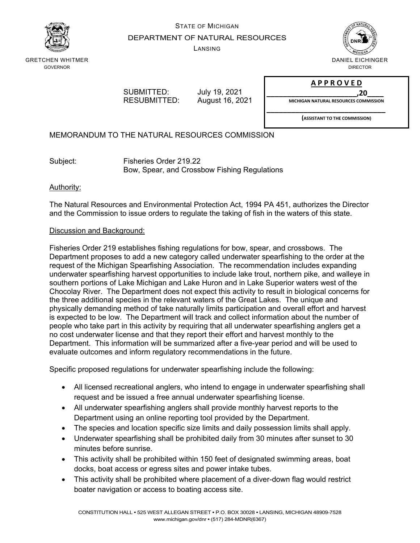

# STATE OF MICHIGAN DEPARTMENT OF NATURAL RESOURCES

LANSING



GRETCHEN WHITMER GOVERNOR

> SUBMITTED: July 19, 2021 RESUBMITTED: August 16, 2021

**A P P R O V E D**

**\_\_\_\_\_\_\_\_\_\_\_\_\_\_\_\_\_\_\_\_\_\_,20\_\_\_\_ MICHIGAN NATURAL RESOURCES COMMISSION**

**\_\_\_\_\_\_\_\_\_\_\_\_\_\_\_\_\_\_\_\_\_\_\_\_\_\_\_\_\_**

**(ASSISTANT TO THE COMMISSION)**

MEMORANDUM TO THE NATURAL RESOURCES COMMISSION

Subject: Fisheries Order 219.22 Bow, Spear, and Crossbow Fishing Regulations

## Authority:

The Natural Resources and Environmental Protection Act, 1994 PA 451, authorizes the Director and the Commission to issue orders to regulate the taking of fish in the waters of this state.

## Discussion and Background:

Fisheries Order 219 establishes fishing regulations for bow, spear, and crossbows. The Department proposes to add a new category called underwater spearfishing to the order at the request of the Michigan Spearfishing Association. The recommendation includes expanding underwater spearfishing harvest opportunities to include lake trout, northern pike, and walleye in southern portions of Lake Michigan and Lake Huron and in Lake Superior waters west of the Chocolay River. The Department does not expect this activity to result in biological concerns for the three additional species in the relevant waters of the Great Lakes. The unique and physically demanding method of take naturally limits participation and overall effort and harvest is expected to be low. The Department will track and collect information about the number of people who take part in this activity by requiring that all underwater spearfishing anglers get a no cost underwater license and that they report their effort and harvest monthly to the Department. This information will be summarized after a five-year period and will be used to evaluate outcomes and inform regulatory recommendations in the future.

Specific proposed regulations for underwater spearfishing include the following:

- All licensed recreational anglers, who intend to engage in underwater spearfishing shall request and be issued a free annual underwater spearfishing license.
- All underwater spearfishing anglers shall provide monthly harvest reports to the Department using an online reporting tool provided by the Department.
- The species and location specific size limits and daily possession limits shall apply.
- Underwater spearfishing shall be prohibited daily from 30 minutes after sunset to 30 minutes before sunrise.
- This activity shall be prohibited within 150 feet of designated swimming areas, boat docks, boat access or egress sites and power intake tubes.
- This activity shall be prohibited where placement of a diver-down flag would restrict boater navigation or access to boating access site.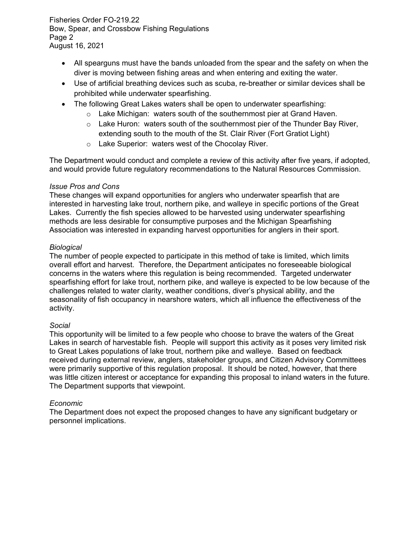Fisheries Order FO-219.22 Bow, Spear, and Crossbow Fishing Regulations Page 2 August 16, 2021

- All spearguns must have the bands unloaded from the spear and the safety on when the diver is moving between fishing areas and when entering and exiting the water.
- Use of artificial breathing devices such as scuba, re-breather or similar devices shall be prohibited while underwater spearfishing.
- The following Great Lakes waters shall be open to underwater spearfishing:
	- o Lake Michigan: waters south of the southernmost pier at Grand Haven.
	- $\circ$  Lake Huron: waters south of the southernmost pier of the Thunder Bay River, extending south to the mouth of the St. Clair River (Fort Gratiot Light)
	- o Lake Superior: waters west of the Chocolay River.

The Department would conduct and complete a review of this activity after five years, if adopted, and would provide future regulatory recommendations to the Natural Resources Commission.

## *Issue Pros and Cons*

These changes will expand opportunities for anglers who underwater spearfish that are interested in harvesting lake trout, northern pike, and walleye in specific portions of the Great Lakes. Currently the fish species allowed to be harvested using underwater spearfishing methods are less desirable for consumptive purposes and the Michigan Spearfishing Association was interested in expanding harvest opportunities for anglers in their sport.

## *Biological*

The number of people expected to participate in this method of take is limited, which limits overall effort and harvest. Therefore, the Department anticipates no foreseeable biological concerns in the waters where this regulation is being recommended. Targeted underwater spearfishing effort for lake trout, northern pike, and walleye is expected to be low because of the challenges related to water clarity, weather conditions, diver's physical ability, and the seasonality of fish occupancy in nearshore waters, which all influence the effectiveness of the activity.

## *Social*

This opportunity will be limited to a few people who choose to brave the waters of the Great Lakes in search of harvestable fish. People will support this activity as it poses very limited risk to Great Lakes populations of lake trout, northern pike and walleye. Based on feedback received during external review, anglers, stakeholder groups, and Citizen Advisory Committees were primarily supportive of this regulation proposal. It should be noted, however, that there was little citizen interest or acceptance for expanding this proposal to inland waters in the future. The Department supports that viewpoint.

## *Economic*

The Department does not expect the proposed changes to have any significant budgetary or personnel implications.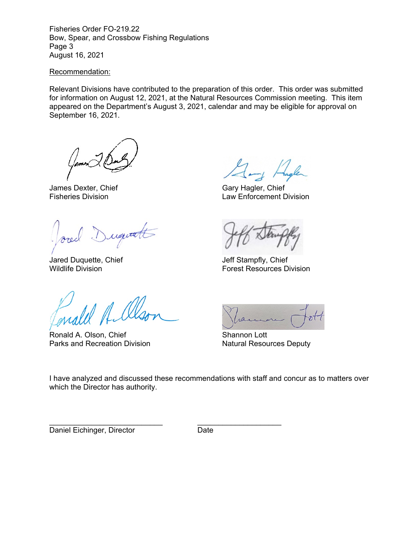Fisheries Order FO-219.22 Bow, Spear, and Crossbow Fishing Regulations Page 3 August 16, 2021

## Recommendation:

Relevant Divisions have contributed to the preparation of this order. This order was submitted for information on August 12, 2021, at the Natural Resources Commission meeting. This item appeared on the Department's August 3, 2021, calendar and may be eligible for approval on September 16, 2021.

James Dexter, Chief<br>Fisheries Division<br>Fisheries Division<br>Law Enforcement D

Duquatt

Jared Duquette, Chief Jared Duquette, Chief Jeff Stampfly, Chief Vildlife Division

WA A

Ronald A. Olson, Chief Shannon Lott<br>
Parks and Recreation Division<br>
Natural Resources Deputy Parks and Recreation Division

Law Enforcement Division

**Forest Resources Division** 



I have analyzed and discussed these recommendations with staff and concur as to matters over which the Director has authority.

Daniel Eichinger, Director **Date** 

\_\_\_\_\_\_\_\_\_\_\_\_\_\_\_\_\_\_\_\_\_\_\_\_\_\_\_ \_\_\_\_\_\_\_\_\_\_\_\_\_\_\_\_\_\_\_\_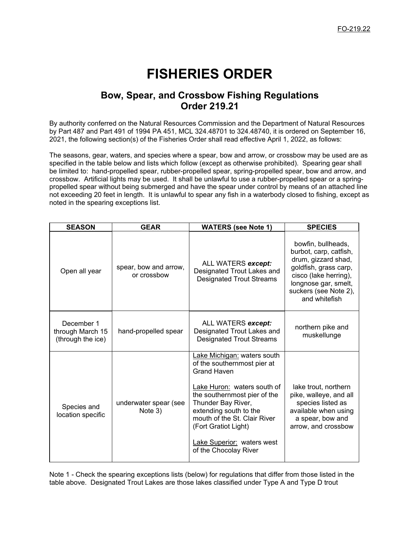# **FISHERIES ORDER**

## **Bow, Spear, and Crossbow Fishing Regulations Order 219.21**

By authority conferred on the Natural Resources Commission and the Department of Natural Resources by Part 487 and Part 491 of 1994 PA 451, MCL 324.48701 to 324.48740, it is ordered on September 16, 2021, the following section(s) of the Fisheries Order shall read effective April 1, 2022, as follows:

The seasons, gear, waters, and species where a spear, bow and arrow, or crossbow may be used are as specified in the table below and lists which follow (except as otherwise prohibited). Spearing gear shall be limited to: hand-propelled spear, rubber-propelled spear, spring-propelled spear, bow and arrow, and crossbow. Artificial lights may be used. It shall be unlawful to use a rubber-propelled spear or a springpropelled spear without being submerged and have the spear under control by means of an attached line not exceeding 20 feet in length. It is unlawful to spear any fish in a waterbody closed to fishing, except as noted in the spearing exceptions list.

| <b>SEASON</b>                                       | <b>GEAR</b>                          | <b>WATERS (see Note 1)</b>                                                                                                                                                                                                                                                                              | <b>SPECIES</b>                                                                                                                                                                          |
|-----------------------------------------------------|--------------------------------------|---------------------------------------------------------------------------------------------------------------------------------------------------------------------------------------------------------------------------------------------------------------------------------------------------------|-----------------------------------------------------------------------------------------------------------------------------------------------------------------------------------------|
| Open all year                                       | spear, bow and arrow,<br>or crossbow | ALL WATERS except:<br>Designated Trout Lakes and<br><b>Designated Trout Streams</b>                                                                                                                                                                                                                     | bowfin, bullheads,<br>burbot, carp, catfish,<br>drum, gizzard shad,<br>goldfish, grass carp,<br>cisco (lake herring),<br>longnose gar, smelt,<br>suckers (see Note 2),<br>and whitefish |
| December 1<br>through March 15<br>(through the ice) | hand-propelled spear                 | ALL WATERS except:<br>Designated Trout Lakes and<br><b>Designated Trout Streams</b>                                                                                                                                                                                                                     | northern pike and<br>muskellunge                                                                                                                                                        |
| Species and<br>location specific                    | underwater spear (see<br>Note 3)     | Lake Michigan: waters south<br>of the southernmost pier at<br>Grand Haven<br>Lake Huron: waters south of<br>the southernmost pier of the<br>Thunder Bay River,<br>extending south to the<br>mouth of the St. Clair River<br>(Fort Gratiot Light)<br>Lake Superior: waters west<br>of the Chocolay River | lake trout, northern<br>pike, walleye, and all<br>species listed as<br>available when using<br>a spear, bow and<br>arrow, and crossbow                                                  |

Note 1 - Check the spearing exceptions lists (below) for regulations that differ from those listed in the table above. Designated Trout Lakes are those lakes classified under Type A and Type D trout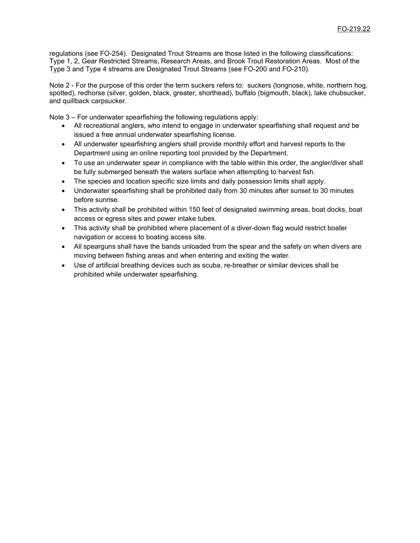regulations (see FO-254). Designated Trout Streams are those listed in the following classifications: Type 1, 2, Gear Restricted Streams, Research Areas, and Brook Trout Restoration Areas. Most of the Type 3 and Type 4 streams are Designated Trout Streams (see FO-200 and FO-210).

Note 2 - For the purpose of this order the term suckers refers to: suckers (longnose, white, northern hog, spotted), redhorse (silver, golden, black, greater, shorthead), buffalo (bigmouth, black), lake chubsucker, and quillback carpsucker.

Note 3 – For underwater spearfishing the following regulations apply:

- All recreational anglers, who intend to engage in underwater spearfishing shall request and be issued a free annual underwater spearfishing license.
- All underwater spearfishing anglers shall provide monthly effort and harvest reports to the Department using an online reporting tool provided by the Department.
- To use an underwater spear in compliance with the table within this order, the angler/diver shall be fully submerged beneath the waters surface when attempting to harvest fish.
- The species and location specific size limits and daily possession limits shall apply.
- Underwater spearfishing shall be prohibited daily from 30 minutes after sunset to 30 minutes before sunrise.
- This activity shall be prohibited within 150 feet of designated swimming areas, boat docks, boat access or egress sites and power intake tubes.
- This activity shall be prohibited where placement of a diver-down flag would restrict boater navigation or access to boating access site.
- All spearguns shall have the bands unloaded from the spear and the safety on when divers are moving between fishing areas and when entering and exiting the water.
- Use of artificial breathing devices such as scuba, re-breather or similar devices shall be prohibited while underwater spearfishing.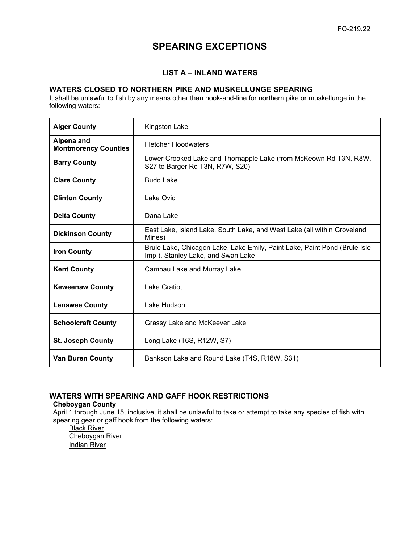# **SPEARING EXCEPTIONS**

## **LIST A – INLAND WATERS**

## **WATERS CLOSED TO NORTHERN PIKE AND MUSKELLUNGE SPEARING**

It shall be unlawful to fish by any means other than hook-and-line for northern pike or muskellunge in the following waters:

| <b>Alger County</b>                       | Kingston Lake                                                                                                   |  |
|-------------------------------------------|-----------------------------------------------------------------------------------------------------------------|--|
| Alpena and<br><b>Montmorency Counties</b> | <b>Fletcher Floodwaters</b>                                                                                     |  |
| <b>Barry County</b>                       | Lower Crooked Lake and Thornapple Lake (from McKeown Rd T3N, R8W,<br>S27 to Barger Rd T3N, R7W, S20)            |  |
| <b>Clare County</b>                       | <b>Budd Lake</b>                                                                                                |  |
| <b>Clinton County</b>                     | Lake Ovid                                                                                                       |  |
| <b>Delta County</b>                       | Dana Lake                                                                                                       |  |
| <b>Dickinson County</b>                   | East Lake, Island Lake, South Lake, and West Lake (all within Groveland<br>Mines)                               |  |
| <b>Iron County</b>                        | Brule Lake, Chicagon Lake, Lake Emily, Paint Lake, Paint Pond (Brule Isle<br>Imp.), Stanley Lake, and Swan Lake |  |
| <b>Kent County</b>                        | Campau Lake and Murray Lake                                                                                     |  |
| <b>Keweenaw County</b>                    | Lake Gratiot                                                                                                    |  |
| <b>Lenawee County</b>                     | Lake Hudson                                                                                                     |  |
| <b>Schoolcraft County</b>                 | Grassy Lake and McKeever Lake                                                                                   |  |
| <b>St. Joseph County</b>                  | Long Lake (T6S, R12W, S7)                                                                                       |  |
| <b>Van Buren County</b>                   | Bankson Lake and Round Lake (T4S, R16W, S31)                                                                    |  |

## **WATERS WITH SPEARING AND GAFF HOOK RESTRICTIONS**

## **Cheboygan County**

April 1 through June 15, inclusive, it shall be unlawful to take or attempt to take any species of fish with spearing gear or gaff hook from the following waters:

**Black River** Cheboygan River Indian River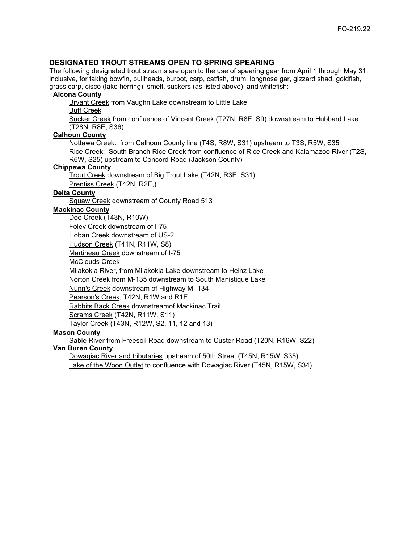## **DESIGNATED TROUT STREAMS OPEN TO SPRING SPEARING**

The following designated trout streams are open to the use of spearing gear from April 1 through May 31, inclusive, for taking bowfin, bullheads, burbot, carp, catfish, drum, longnose gar, gizzard shad, goldfish, grass carp, cisco (lake herring), smelt, suckers (as listed above), and whitefish:

#### **Alcona County**

Bryant Creek from Vaughn Lake downstream to Little Lake

Buff Creek

Sucker Creek from confluence of Vincent Creek (T27N, R8E, S9) downstream to Hubbard Lake (T28N, R8E, S36)

#### **Calhoun County**

Nottawa Creek: from Calhoun County line (T4S, R8W, S31) upstream to T3S, R5W, S35 Rice Creek: South Branch Rice Creek from confluence of Rice Creek and Kalamazoo River (T2S, R6W, S25) upstream to Concord Road (Jackson County)

#### **Chippewa County**

Trout Creek downstream of Big Trout Lake (T42N, R3E, S31) Prentiss Creek (T42N, R2E,)

## **Delta County**

Squaw Creek downstream of County Road 513

#### **Mackinac County**

Doe Creek (T43N, R10W)

Foley Creek downstream of I-75

Hoban Creek downstream of US-2

Hudson Creek (T41N, R11W, S8)

Martineau Creek downstream of I-75

McClouds Creek

Milakokia River, from Milakokia Lake downstream to Heinz Lake

Norton Creek from M-135 downstream to South Manistique Lake

Nunn's Creek downstream of Highway M -134

Pearson's Creek, T42N, R1W and R1E

Rabbits Back Creek downstreamof Mackinac Trail

Scrams Creek (T42N, R11W, S11)

Taylor Creek (T43N, R12W, S2, 11, 12 and 13)

#### **Mason County**

Sable River from Freesoil Road downstream to Custer Road (T20N, R16W, S22) **Van Buren County**

Dowagiac River and tributaries upstream of 50th Street (T45N, R15W, S35)

Lake of the Wood Outlet to confluence with Dowagiac River (T45N, R15W, S34)